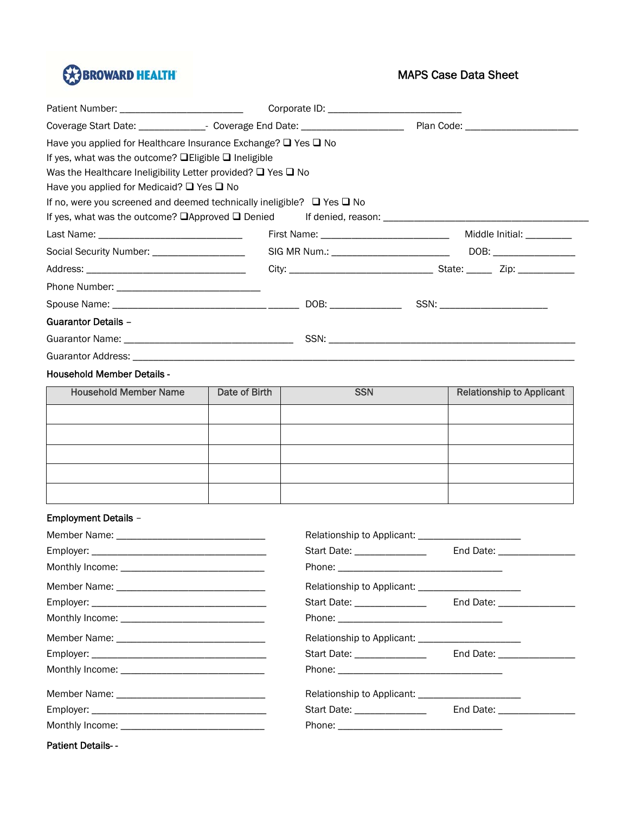

## MAPS Case Data Sheet

| Have you applied for Healthcare Insurance Exchange? $\Box$ Yes $\Box$ No         |  |  |                                |
|----------------------------------------------------------------------------------|--|--|--------------------------------|
| If yes, what was the outcome? $\Box$ Eligible $\Box$ Ineligible                  |  |  |                                |
| Was the Healthcare Ineligibility Letter provided? $\Box$ Yes $\Box$ No           |  |  |                                |
| Have you applied for Medicaid? $\Box$ Yes $\Box$ No                              |  |  |                                |
| If no, were you screened and deemed technically ineligible? $\Box$ Yes $\Box$ No |  |  |                                |
|                                                                                  |  |  |                                |
|                                                                                  |  |  | Middle Initial: __________     |
| Social Security Number: ____________________                                     |  |  |                                |
|                                                                                  |  |  |                                |
|                                                                                  |  |  |                                |
|                                                                                  |  |  | SSN: _________________________ |
| <b>Guarantor Details -</b>                                                       |  |  |                                |
|                                                                                  |  |  |                                |
|                                                                                  |  |  |                                |

## Household Member Details -

| <b>Household Member Name</b> | Date of Birth | <b>SSN</b> | <b>Relationship to Applicant</b> |
|------------------------------|---------------|------------|----------------------------------|
|                              |               |            |                                  |
|                              |               |            |                                  |
|                              |               |            |                                  |
|                              |               |            |                                  |
|                              |               |            |                                  |

## Employment Details –

|                          | Relationship to Applicant: __________________________ |                               |
|--------------------------|-------------------------------------------------------|-------------------------------|
|                          | Start Date: ________________                          | End Date: ___________________ |
|                          |                                                       |                               |
|                          | Relationship to Applicant: ________________________   |                               |
|                          | Start Date: ________________                          | End Date: __________________  |
|                          |                                                       |                               |
|                          |                                                       |                               |
|                          | Start Date: _______________                           |                               |
|                          |                                                       |                               |
|                          |                                                       |                               |
|                          | Start Date: ______________                            | End Date: __________________  |
|                          |                                                       |                               |
| <b>Patient Details--</b> |                                                       |                               |